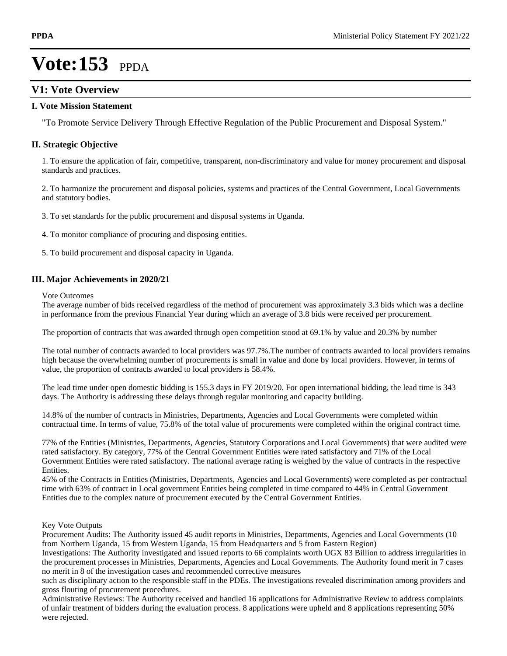### **V1: Vote Overview**

#### **I. Vote Mission Statement**

"To Promote Service Delivery Through Effective Regulation of the Public Procurement and Disposal System."

### **II. Strategic Objective**

1. To ensure the application of fair, competitive, transparent, non-discriminatory and value for money procurement and disposal standards and practices.

2. To harmonize the procurement and disposal policies, systems and practices of the Central Government, Local Governments and statutory bodies.

3. To set standards for the public procurement and disposal systems in Uganda.

4. To monitor compliance of procuring and disposing entities.

5. To build procurement and disposal capacity in Uganda.

### **III. Major Achievements in 2020/21**

Vote Outcomes

The average number of bids received regardless of the method of procurement was approximately 3.3 bids which was a decline in performance from the previous Financial Year during which an average of 3.8 bids were received per procurement.

The proportion of contracts that was awarded through open competition stood at 69.1% by value and 20.3% by number

The total number of contracts awarded to local providers was 97.7%.The number of contracts awarded to local providers remains high because the overwhelming number of procurements is small in value and done by local providers. However, in terms of value, the proportion of contracts awarded to local providers is 58.4%.

The lead time under open domestic bidding is 155.3 days in FY 2019/20. For open international bidding, the lead time is 343 days. The Authority is addressing these delays through regular monitoring and capacity building.

14.8% of the number of contracts in Ministries, Departments, Agencies and Local Governments were completed within contractual time. In terms of value, 75.8% of the total value of procurements were completed within the original contract time.

77% of the Entities (Ministries, Departments, Agencies, Statutory Corporations and Local Governments) that were audited were rated satisfactory. By category, 77% of the Central Government Entities were rated satisfactory and 71% of the Local Government Entities were rated satisfactory. The national average rating is weighed by the value of contracts in the respective Entities.

45% of the Contracts in Entities (Ministries, Departments, Agencies and Local Governments) were completed as per contractual time with 63% of contract in Local government Entities being completed in time compared to 44% in Central Government Entities due to the complex nature of procurement executed by the Central Government Entities.

#### Key Vote Outputs

Procurement Audits: The Authority issued 45 audit reports in Ministries, Departments, Agencies and Local Governments (10 from Northern Uganda, 15 from Western Uganda, 15 from Headquarters and 5 from Eastern Region)

Investigations: The Authority investigated and issued reports to 66 complaints worth UGX 83 Billion to address irregularities in the procurement processes in Ministries, Departments, Agencies and Local Governments. The Authority found merit in 7 cases no merit in 8 of the investigation cases and recommended corrective measures

such as disciplinary action to the responsible staff in the PDEs. The investigations revealed discrimination among providers and gross flouting of procurement procedures.

Administrative Reviews: The Authority received and handled 16 applications for Administrative Review to address complaints of unfair treatment of bidders during the evaluation process. 8 applications were upheld and 8 applications representing 50% were rejected.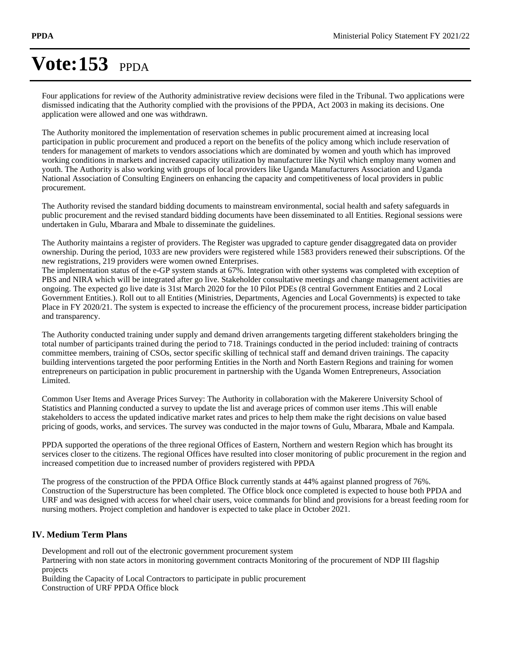Four applications for review of the Authority administrative review decisions were filed in the Tribunal. Two applications were dismissed indicating that the Authority complied with the provisions of the PPDA, Act 2003 in making its decisions. One application were allowed and one was withdrawn.

The Authority monitored the implementation of reservation schemes in public procurement aimed at increasing local participation in public procurement and produced a report on the benefits of the policy among which include reservation of tenders for management of markets to vendors associations which are dominated by women and youth which has improved working conditions in markets and increased capacity utilization by manufacturer like Nytil which employ many women and youth. The Authority is also working with groups of local providers like Uganda Manufacturers Association and Uganda National Association of Consulting Engineers on enhancing the capacity and competitiveness of local providers in public procurement.

The Authority revised the standard bidding documents to mainstream environmental, social health and safety safeguards in public procurement and the revised standard bidding documents have been disseminated to all Entities. Regional sessions were undertaken in Gulu, Mbarara and Mbale to disseminate the guidelines.

The Authority maintains a register of providers. The Register was upgraded to capture gender disaggregated data on provider ownership. During the period, 1033 are new providers were registered while 1583 providers renewed their subscriptions. Of the new registrations, 219 providers were women owned Enterprises.

The implementation status of the e-GP system stands at 67%. Integration with other systems was completed with exception of PBS and NIRA which will be integrated after go live. Stakeholder consultative meetings and change management activities are ongoing. The expected go live date is 31st March 2020 for the 10 Pilot PDEs (8 central Government Entities and 2 Local Government Entities.). Roll out to all Entities (Ministries, Departments, Agencies and Local Governments) is expected to take Place in FY 2020/21. The system is expected to increase the efficiency of the procurement process, increase bidder participation and transparency.

The Authority conducted training under supply and demand driven arrangements targeting different stakeholders bringing the total number of participants trained during the period to 718. Trainings conducted in the period included: training of contracts committee members, training of CSOs, sector specific skilling of technical staff and demand driven trainings. The capacity building interventions targeted the poor performing Entities in the North and North Eastern Regions and training for women entrepreneurs on participation in public procurement in partnership with the Uganda Women Entrepreneurs, Association Limited.

Common User Items and Average Prices Survey: The Authority in collaboration with the Makerere University School of Statistics and Planning conducted a survey to update the list and average prices of common user items .This will enable stakeholders to access the updated indicative market rates and prices to help them make the right decisions on value based pricing of goods, works, and services. The survey was conducted in the major towns of Gulu, Mbarara, Mbale and Kampala.

PPDA supported the operations of the three regional Offices of Eastern, Northern and western Region which has brought its services closer to the citizens. The regional Offices have resulted into closer monitoring of public procurement in the region and increased competition due to increased number of providers registered with PPDA

The progress of the construction of the PPDA Office Block currently stands at 44% against planned progress of 76%. Construction of the Superstructure has been completed. The Office block once completed is expected to house both PPDA and URF and was designed with access for wheel chair users, voice commands for blind and provisions for a breast feeding room for nursing mothers. Project completion and handover is expected to take place in October 2021.

### **IV. Medium Term Plans**

Development and roll out of the electronic government procurement system

Partnering with non state actors in monitoring government contracts Monitoring of the procurement of NDP III flagship projects

Building the Capacity of Local Contractors to participate in public procurement Construction of URF PPDA Office block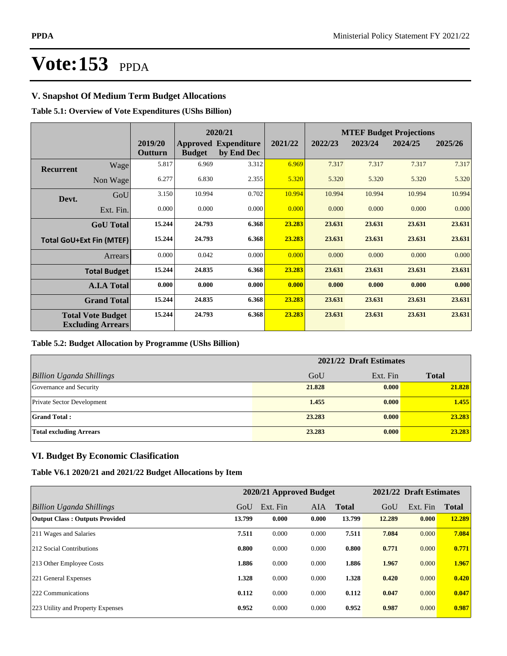### **V. Snapshot Of Medium Term Budget Allocations**

### **Table 5.1: Overview of Vote Expenditures (UShs Billion)**

|           |                                                      |                    |               | 2020/21                                   |         |         |         | <b>MTEF Budget Projections</b> |         |
|-----------|------------------------------------------------------|--------------------|---------------|-------------------------------------------|---------|---------|---------|--------------------------------|---------|
|           |                                                      | 2019/20<br>Outturn | <b>Budget</b> | <b>Approved Expenditure</b><br>by End Dec | 2021/22 | 2022/23 | 2023/24 | 2024/25                        | 2025/26 |
| Recurrent | Wage                                                 | 5.817              | 6.969         | 3.312                                     | 6.969   | 7.317   | 7.317   | 7.317                          | 7.317   |
|           | Non Wage                                             | 6.277              | 6.830         | 2.355                                     | 5.320   | 5.320   | 5.320   | 5.320                          | 5.320   |
| Devt.     | GoU                                                  | 3.150              | 10.994        | 0.702                                     | 10.994  | 10.994  | 10.994  | 10.994                         | 10.994  |
|           | Ext. Fin.                                            | 0.000              | 0.000         | 0.000                                     | 0.000   | 0.000   | 0.000   | 0.000                          | 0.000   |
|           | <b>GoU</b> Total                                     | 15.244             | 24.793        | 6.368                                     | 23.283  | 23.631  | 23.631  | 23.631                         | 23.631  |
|           | <b>Total GoU+Ext Fin (MTEF)</b>                      | 15.244             | 24.793        | 6.368                                     | 23.283  | 23.631  | 23.631  | 23.631                         | 23.631  |
|           | Arrears                                              | 0.000              | 0.042         | 0.000                                     | 0.000   | 0.000   | 0.000   | 0.000                          | 0.000   |
|           | <b>Total Budget</b>                                  | 15.244             | 24.835        | 6.368                                     | 23.283  | 23.631  | 23.631  | 23.631                         | 23.631  |
|           | <b>A.I.A Total</b>                                   | 0.000              | 0.000         | 0.000                                     | 0.000   | 0.000   | 0.000   | 0.000                          | 0.000   |
|           | <b>Grand Total</b>                                   | 15.244             | 24.835        | 6.368                                     | 23.283  | 23.631  | 23.631  | 23.631                         | 23.631  |
|           | <b>Total Vote Budget</b><br><b>Excluding Arrears</b> | 15.244             | 24.793        | 6.368                                     | 23.283  | 23.631  | 23.631  | 23.631                         | 23.631  |

#### **Table 5.2: Budget Allocation by Programme (UShs Billion)**

|                                   | 2021/22 Draft Estimates |          |              |
|-----------------------------------|-------------------------|----------|--------------|
| <b>Billion Uganda Shillings</b>   | GoU                     | Ext. Fin | <b>Total</b> |
| Governance and Security           | 21.828                  | 0.000    | 21.828       |
| <b>Private Sector Development</b> | 1.455                   | 0.000    | 1.455        |
| <b>Grand Total:</b>               | 23.283                  | 0.000    | 23.283       |
| <b>Total excluding Arrears</b>    | 23.283                  | 0.000    | 23.283       |

### **VI. Budget By Economic Clasification**

#### **Table V6.1 2020/21 and 2021/22 Budget Allocations by Item**

|                                       |        | 2020/21 Approved Budget |       |              |        | 2021/22 Draft Estimates |        |
|---------------------------------------|--------|-------------------------|-------|--------------|--------|-------------------------|--------|
| Billion Uganda Shillings              | GoU    | Ext. Fin                | AIA   | <b>Total</b> | GoU    | Ext. Fin                | Total  |
| <b>Output Class: Outputs Provided</b> | 13.799 | 0.000                   | 0.000 | 13.799       | 12.289 | 0.000                   | 12.289 |
| 211 Wages and Salaries                | 7.511  | 0.000                   | 0.000 | 7.511        | 7.084  | 0.000                   | 7.084  |
| 212 Social Contributions              | 0.800  | 0.000                   | 0.000 | 0.800        | 0.771  | 0.000                   | 0.771  |
| 213 Other Employee Costs              | 1.886  | 0.000                   | 0.000 | 1.886        | 1.967  | 0.000                   | 1.967  |
| 221 General Expenses                  | 1.328  | 0.000                   | 0.000 | 1.328        | 0.420  | 0.000                   | 0.420  |
| 222 Communications                    | 0.112  | 0.000                   | 0.000 | 0.112        | 0.047  | 0.000                   | 0.047  |
| 223 Utility and Property Expenses     | 0.952  | 0.000                   | 0.000 | 0.952        | 0.987  | 0.000                   | 0.987  |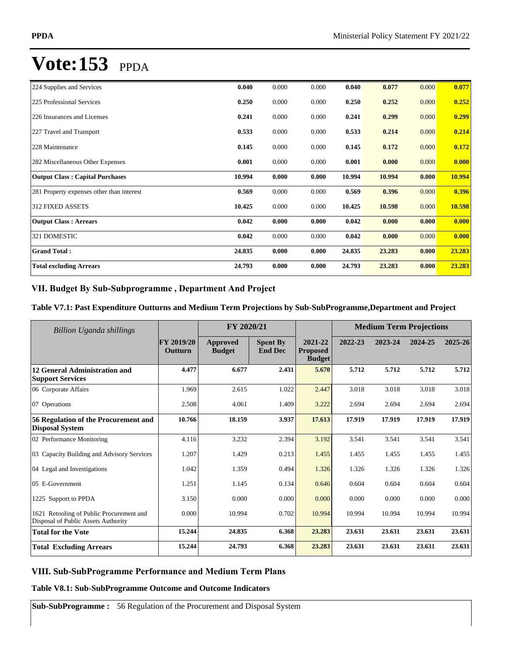| 224 Supplies and Services                 | 0.040  | 0.000 | 0.000 | 0.040  | 0.077  | 0.000 | 0.077  |
|-------------------------------------------|--------|-------|-------|--------|--------|-------|--------|
| 225 Professional Services                 | 0.250  | 0.000 | 0.000 | 0.250  | 0.252  | 0.000 | 0.252  |
| 226 Insurances and Licenses               | 0.241  | 0.000 | 0.000 | 0.241  | 0.299  | 0.000 | 0.299  |
| 227 Travel and Transport                  | 0.533  | 0.000 | 0.000 | 0.533  | 0.214  | 0.000 | 0.214  |
| 228 Maintenance                           | 0.145  | 0.000 | 0.000 | 0.145  | 0.172  | 0.000 | 0.172  |
| 282 Miscellaneous Other Expenses          | 0.001  | 0.000 | 0.000 | 0.001  | 0.000  | 0.000 | 0.000  |
| <b>Output Class: Capital Purchases</b>    | 10.994 | 0.000 | 0.000 | 10.994 | 10.994 | 0.000 | 10.994 |
| 281 Property expenses other than interest | 0.569  | 0.000 | 0.000 | 0.569  | 0.396  | 0.000 | 0.396  |
| 312 FIXED ASSETS                          | 10.425 | 0.000 | 0.000 | 10.425 | 10.598 | 0.000 | 10.598 |
| <b>Output Class: Arrears</b>              | 0.042  | 0.000 | 0.000 | 0.042  | 0.000  | 0.000 | 0.000  |
| 321 DOMESTIC                              | 0.042  | 0.000 | 0.000 | 0.042  | 0.000  | 0.000 | 0.000  |
| <b>Grand Total:</b>                       | 24.835 | 0.000 | 0.000 | 24.835 | 23.283 | 0.000 | 23.283 |
| <b>Total excluding Arrears</b>            | 24.793 | 0.000 | 0.000 | 24.793 | 23.283 | 0.000 | 23.283 |

### VII. Budget By Sub-Subprogramme, Department And Project

### **Table V7.1: Past Expenditure Outturns and Medium Term Projections by Sub-SubProgramme,Department and Project**

| Billion Uganda shillings                                                        |                       | FY 2020/21                |                                   |                                             | <b>Medium Term Projections</b> |         |         |             |
|---------------------------------------------------------------------------------|-----------------------|---------------------------|-----------------------------------|---------------------------------------------|--------------------------------|---------|---------|-------------|
|                                                                                 | FY 2019/20<br>Outturn | Approved<br><b>Budget</b> | <b>Spent By</b><br><b>End Dec</b> | 2021-22<br><b>Proposed</b><br><b>Budget</b> | 2022-23                        | 2023-24 | 2024-25 | $2025 - 26$ |
| 12 General Administration and<br><b>Support Services</b>                        | 4.477                 | 6.677                     | 2.431                             | 5.670                                       | 5.712                          | 5.712   | 5.712   | 5.712       |
| 06 Corporate Affairs                                                            | 1.969                 | 2.615                     | 1.022                             | 2.447                                       | 3.018                          | 3.018   | 3.018   | 3.018       |
| 07 Operations                                                                   | 2.508                 | 4.061                     | 1.409                             | 3.222                                       | 2.694                          | 2.694   | 2.694   | 2.694       |
| 56 Regulation of the Procurement and<br><b>Disposal System</b>                  | 10.766                | 18.159                    | 3.937                             | 17.613                                      | 17.919                         | 17.919  | 17.919  | 17.919      |
| 02 Performance Monitoring                                                       | 4.116                 | 3.232                     | 2.394                             | 3.192                                       | 3.541                          | 3.541   | 3.541   | 3.541       |
| 03 Capacity Building and Advisory Services                                      | 1.207                 | 1.429                     | 0.213                             | 1.455                                       | 1.455                          | 1.455   | 1.455   | 1.455       |
| 04 Legal and Investigations                                                     | 1.042                 | 1.359                     | 0.494                             | 1.326                                       | 1.326                          | 1.326   | 1.326   | 1.326       |
| 05 E-Government                                                                 | 1.251                 | 1.145                     | 0.134                             | 0.646                                       | 0.604                          | 0.604   | 0.604   | 0.604       |
| 1225 Support to PPDA                                                            | 3.150                 | 0.000                     | 0.000                             | 0.000                                       | 0.000                          | 0.000   | 0.000   | 0.000       |
| 1621 Retooling of Public Procurement and<br>Disposal of Public Assets Authority | 0.000                 | 10.994                    | 0.702                             | 10.994                                      | 10.994                         | 10.994  | 10.994  | 10.994      |
| <b>Total for the Vote</b>                                                       | 15.244                | 24.835                    | 6.368                             | 23.283                                      | 23.631                         | 23.631  | 23.631  | 23.631      |
| <b>Total Excluding Arrears</b>                                                  | 15.244                | 24.793                    | 6.368                             | 23.283                                      | 23.631                         | 23.631  | 23.631  | 23.631      |

### **VIII. Sub-SubProgramme Performance and Medium Term Plans**

**Table V8.1: Sub-SubProgramme Outcome and Outcome Indicators** 

**Sub-SubProgramme :** 56 Regulation of the Procurement and Disposal System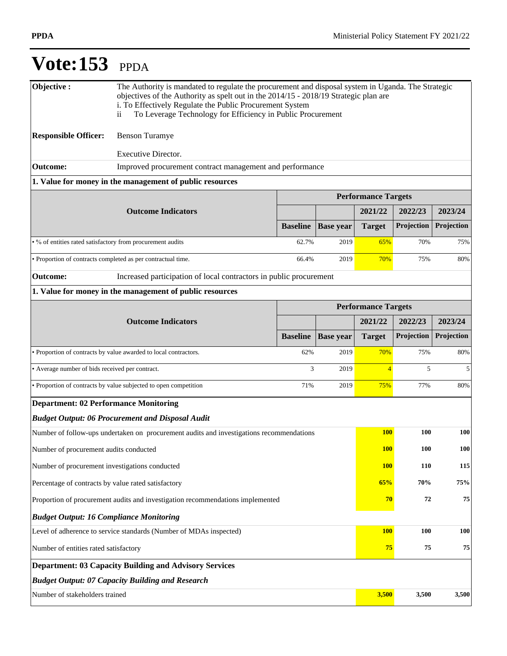| Objective:                                                         | The Authority is mandated to regulate the procurement and disposal system in Uganda. The Strategic<br>objectives of the Authority as spelt out in the 2014/15 - 2018/19 Strategic plan are<br>i. To Effectively Regulate the Public Procurement System<br>To Leverage Technology for Efficiency in Public Procurement<br>$\overline{\mathbf{1}}$ |                 |                  |                            |            |            |
|--------------------------------------------------------------------|--------------------------------------------------------------------------------------------------------------------------------------------------------------------------------------------------------------------------------------------------------------------------------------------------------------------------------------------------|-----------------|------------------|----------------------------|------------|------------|
| <b>Responsible Officer:</b>                                        | <b>Benson Turamye</b>                                                                                                                                                                                                                                                                                                                            |                 |                  |                            |            |            |
|                                                                    | <b>Executive Director.</b>                                                                                                                                                                                                                                                                                                                       |                 |                  |                            |            |            |
| <b>Outcome:</b>                                                    | Improved procurement contract management and performance                                                                                                                                                                                                                                                                                         |                 |                  |                            |            |            |
|                                                                    | 1. Value for money in the management of public resources                                                                                                                                                                                                                                                                                         |                 |                  |                            |            |            |
|                                                                    |                                                                                                                                                                                                                                                                                                                                                  |                 |                  | <b>Performance Targets</b> |            |            |
|                                                                    | <b>Outcome Indicators</b>                                                                                                                                                                                                                                                                                                                        |                 |                  | 2021/22                    | 2022/23    | 2023/24    |
|                                                                    |                                                                                                                                                                                                                                                                                                                                                  | <b>Baseline</b> | <b>Base year</b> | <b>Target</b>              | Projection | Projection |
| • % of entities rated satisfactory from procurement audits         |                                                                                                                                                                                                                                                                                                                                                  | 62.7%           | 2019             | 65%                        | 70%        | 75%        |
|                                                                    | • Proportion of contracts completed as per contractual time.                                                                                                                                                                                                                                                                                     | 66.4%           | 2019             | 70%                        | 75%        | 80%        |
| <b>Outcome:</b>                                                    | Increased participation of local contractors in public procurement                                                                                                                                                                                                                                                                               |                 |                  |                            |            |            |
|                                                                    | 1. Value for money in the management of public resources                                                                                                                                                                                                                                                                                         |                 |                  |                            |            |            |
|                                                                    |                                                                                                                                                                                                                                                                                                                                                  |                 |                  | <b>Performance Targets</b> |            |            |
|                                                                    | <b>Outcome Indicators</b>                                                                                                                                                                                                                                                                                                                        |                 |                  | 2021/22                    | 2022/23    | 2023/24    |
|                                                                    |                                                                                                                                                                                                                                                                                                                                                  | <b>Baseline</b> | <b>Base year</b> | <b>Target</b>              | Projection | Projection |
|                                                                    | • Proportion of contracts by value awarded to local contractors.                                                                                                                                                                                                                                                                                 | 62%             | 2019             | 70%                        | 75%        | 80%        |
| • Average number of bids received per contract.                    |                                                                                                                                                                                                                                                                                                                                                  | 3               | 2019             | $\overline{4}$             | 5          | 5          |
|                                                                    | • Proportion of contracts by value subjected to open competition                                                                                                                                                                                                                                                                                 | 71%             | 2019             | <b>75%</b>                 | 77%        | 80%        |
| <b>Department: 02 Performance Monitoring</b>                       |                                                                                                                                                                                                                                                                                                                                                  |                 |                  |                            |            |            |
|                                                                    | <b>Budget Output: 06 Procurement and Disposal Audit</b>                                                                                                                                                                                                                                                                                          |                 |                  |                            |            |            |
|                                                                    | Number of follow-ups undertaken on procurement audits and investigations recommendations                                                                                                                                                                                                                                                         |                 |                  | <b>100</b>                 | 100        | 100        |
| Number of procurement audits conducted                             |                                                                                                                                                                                                                                                                                                                                                  |                 |                  | <b>100</b>                 | <b>100</b> | <b>100</b> |
| Number of procurement investigations conducted                     |                                                                                                                                                                                                                                                                                                                                                  |                 |                  | <b>100</b>                 | 110        | 115        |
| Percentage of contracts by value rated satisfactory                |                                                                                                                                                                                                                                                                                                                                                  |                 |                  | 65%                        | 70%        | 75%        |
|                                                                    | Proportion of procurement audits and investigation recommendations implemented                                                                                                                                                                                                                                                                   |                 |                  | 70                         | ${\bf 72}$ | 75         |
| <b>Budget Output: 16 Compliance Monitoring</b>                     |                                                                                                                                                                                                                                                                                                                                                  |                 |                  |                            |            |            |
| Level of adherence to service standards (Number of MDAs inspected) |                                                                                                                                                                                                                                                                                                                                                  | <b>100</b>      | 100              | 100                        |            |            |
| Number of entities rated satisfactory                              |                                                                                                                                                                                                                                                                                                                                                  |                 |                  |                            | 75<br>75   | 75         |
|                                                                    | <b>Department: 03 Capacity Building and Advisory Services</b>                                                                                                                                                                                                                                                                                    |                 |                  |                            |            |            |
|                                                                    | <b>Budget Output: 07 Capacity Building and Research</b>                                                                                                                                                                                                                                                                                          |                 |                  |                            |            |            |
| Number of stakeholders trained                                     |                                                                                                                                                                                                                                                                                                                                                  |                 |                  | 3,500                      | 3,500      | 3,500      |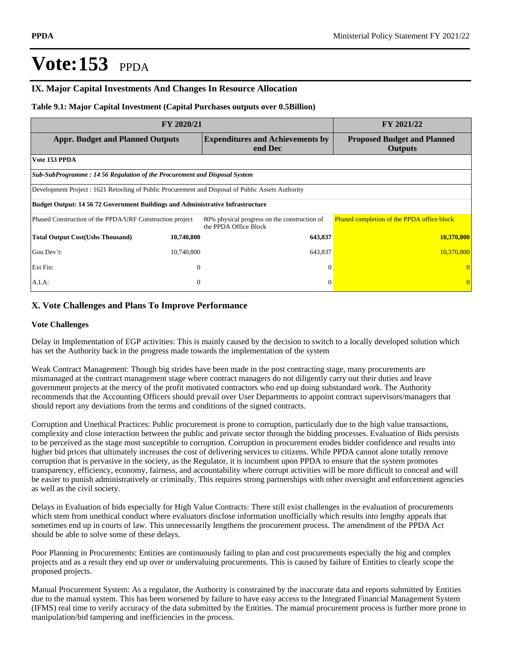### **IX. Major Capital Investments And Changes In Resource Allocation**

#### **Table 9.1: Major Capital Investment (Capital Purchases outputs over 0.5Billion)**

| FY 2020/21                                                                                         | FY 2021/22     |                                                                       |                                                      |  |  |  |  |
|----------------------------------------------------------------------------------------------------|----------------|-----------------------------------------------------------------------|------------------------------------------------------|--|--|--|--|
| <b>Appr. Budget and Planned Outputs</b>                                                            |                | <b>Expenditures and Achievements by</b><br>end Dec                    | <b>Proposed Budget and Planned</b><br><b>Outputs</b> |  |  |  |  |
| Vote 153 PPDA                                                                                      |                |                                                                       |                                                      |  |  |  |  |
| Sub-SubProgramme: 14 56 Regulation of the Procurement and Disposal System                          |                |                                                                       |                                                      |  |  |  |  |
| Development Project : 1621 Retooling of Public Procurement and Disposal of Public Assets Authority |                |                                                                       |                                                      |  |  |  |  |
| <b>Budget Output: 14 56 72 Government Buildings and Administrative Infrastructure</b>              |                |                                                                       |                                                      |  |  |  |  |
| Phased Construction of the PPDA/URF Construction project                                           |                | 80% physical progress on the construction of<br>the PPDA Office Block | Phased completion of the PPDA office block           |  |  |  |  |
| <b>Total Output Cost(Ushs Thousand)</b>                                                            | 10,740,800     | 643,837                                                               | 10,370,800                                           |  |  |  |  |
| Gou Dev't:                                                                                         | 10,740,800     | 643,837                                                               | 10,370,800                                           |  |  |  |  |
| Ext Fin:                                                                                           | $\overline{0}$ | $\Omega$                                                              |                                                      |  |  |  |  |
| $A.I.A$ :                                                                                          | $\theta$       | $\Omega$                                                              |                                                      |  |  |  |  |

### **X. Vote Challenges and Plans To Improve Performance**

#### **Vote Challenges**

Delay in Implementation of EGP activities: This is mainly caused by the decision to switch to a locally developed solution which has set the Authority back in the progress made towards the implementation of the system

Weak Contract Management: Though big strides have been made in the post contracting stage, many procurements are mismanaged at the contract management stage where contract managers do not diligently carry out their duties and leave government projects at the mercy of the profit motivated contractors who end up doing substandard work. The Authority recommends that the Accounting Officers should prevail over User Departments to appoint contract supervisors/managers that should report any deviations from the terms and conditions of the signed contracts.

Corruption and Unethical Practices: Public procurement is prone to corruption, particularly due to the high value transactions, complexity and close interaction between the public and private sector through the bidding processes. Evaluation of Bids persists to be perceived as the stage most susceptible to corruption. Corruption in procurement erodes bidder confidence and results into higher bid prices that ultimately increases the cost of delivering services to citizens. While PPDA cannot alone totally remove corruption that is pervasive in the society, as the Regulator, it is incumbent upon PPDA to ensure that the system promotes transparency, efficiency, economy, fairness, and accountability where corrupt activities will be more difficult to conceal and will be easier to punish administratively or criminally. This requires strong partnerships with other oversight and enforcement agencies as well as the civil society.

Delays in Evaluation of bids especially for High Value Contracts: There still exist challenges in the evaluation of procurements which stem from unethical conduct where evaluators disclose information unofficially which results into lengthy appeals that sometimes end up in courts of law. This unnecessarily lengthens the procurement process. The amendment of the PPDA Act should be able to solve some of these delays.

Poor Planning in Procurements: Entities are continuously failing to plan and cost procurements especially the big and complex projects and as a result they end up over or undervaluing procurements. This is caused by failure of Entities to clearly scope the proposed projects.

Manual Procurement System: As a regulator, the Authority is constrained by the inaccurate data and reports submitted by Entities due to the manual system. This has been worsened by failure to have easy access to the Integrated Financial Management System (IFMS) real time to verify accuracy of the data submitted by the Entities. The manual procurement process is further more prone to manipulation/bid tampering and inefficiencies in the process.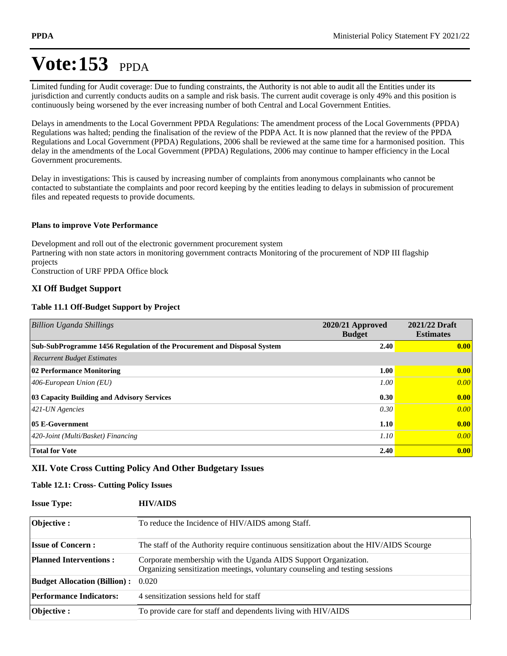Limited funding for Audit coverage: Due to funding constraints, the Authority is not able to audit all the Entities under its jurisdiction and currently conducts audits on a sample and risk basis. The current audit coverage is only 49% and this position is continuously being worsened by the ever increasing number of both Central and Local Government Entities.

Delays in amendments to the Local Government PPDA Regulations: The amendment process of the Local Governments (PPDA) Regulations was halted; pending the finalisation of the review of the PDPA Act. It is now planned that the review of the PPDA Regulations and Local Government (PPDA) Regulations, 2006 shall be reviewed at the same time for a harmonised position. This delay in the amendments of the Local Government (PPDA) Regulations, 2006 may continue to hamper efficiency in the Local Government procurements.

Delay in investigations: This is caused by increasing number of complaints from anonymous complainants who cannot be contacted to substantiate the complaints and poor record keeping by the entities leading to delays in submission of procurement files and repeated requests to provide documents.

### **Plans to improve Vote Performance**

Development and roll out of the electronic government procurement system Partnering with non state actors in monitoring government contracts Monitoring of the procurement of NDP III flagship projects Construction of URF PPDA Office block

### **XI Off Budget Support**

### **Table 11.1 Off-Budget Support by Project**

| <b>Billion Uganda Shillings</b>                                         | 2020/21 Approved<br><b>Budget</b> | 2021/22 Draft<br><b>Estimates</b> |
|-------------------------------------------------------------------------|-----------------------------------|-----------------------------------|
| Sub-SubProgramme 1456 Regulation of the Procurement and Disposal System | 2.40                              | $\vert 0.00 \vert$                |
| <b>Recurrent Budget Estimates</b>                                       |                                   |                                   |
| 02 Performance Monitoring                                               | 1.00                              | $\vert 0.00 \vert$                |
| 406-European Union $(EU)$                                               | 1.00                              | 0.00                              |
| 03 Capacity Building and Advisory Services                              | 0.30                              | 0.00                              |
| $421$ -UN Agencies                                                      | 0.30                              | 0.00                              |
| 05 E-Government                                                         | 1.10                              | 0.00                              |
| 420-Joint (Multi/Basket) Financing                                      | 1.10                              | 0.00                              |
| <b>Total for Vote</b>                                                   | 2.40                              | 0.00                              |

### **XII. Vote Cross Cutting Policy And Other Budgetary Issues**

### **Table 12.1: Cross- Cutting Policy Issues**

| <b>Issue Type:</b> | <b>HIV/AIDS</b> |
|--------------------|-----------------|
|                    |                 |

| <b>Objective:</b>                   | To reduce the Incidence of HIV/AIDS among Staff.                                                                                                |
|-------------------------------------|-------------------------------------------------------------------------------------------------------------------------------------------------|
| <b>Issue of Concern :</b>           | The staff of the Authority require continuous sensitization about the HIV/AIDS Scourge                                                          |
| <b>Planned Interventions:</b>       | Corporate membership with the Uganda AIDS Support Organization.<br>Organizing sensitization meetings, voluntary counseling and testing sessions |
| <b>Budget Allocation (Billion):</b> | 0.020                                                                                                                                           |
| <b>Performance Indicators:</b>      | 4 sensitization sessions held for staff                                                                                                         |
| <b>Objective:</b>                   | To provide care for staff and dependents living with HIV/AIDS                                                                                   |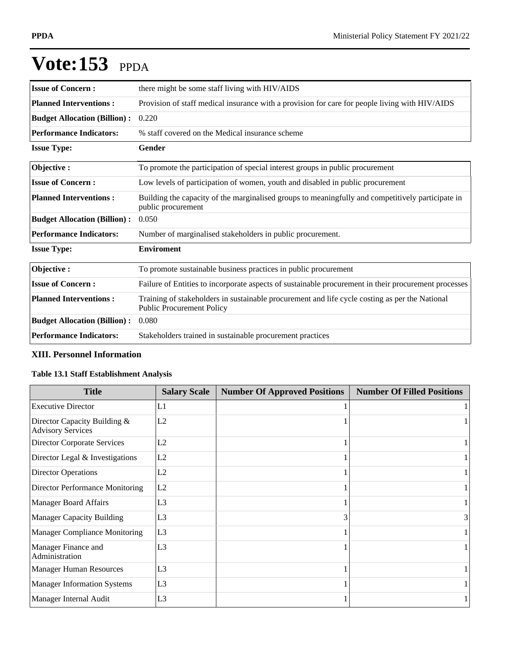| <b>Issue of Concern:</b>            | there might be some staff living with HIV/AIDS                                                                                     |
|-------------------------------------|------------------------------------------------------------------------------------------------------------------------------------|
| <b>Planned Interventions:</b>       | Provision of staff medical insurance with a provision for care for people living with HIV/AIDS                                     |
| <b>Budget Allocation (Billion):</b> | 0.220                                                                                                                              |
| <b>Performance Indicators:</b>      | % staff covered on the Medical insurance scheme                                                                                    |
| <b>Issue Type:</b>                  | Gender                                                                                                                             |
| Objective:                          | To promote the participation of special interest groups in public procurement                                                      |
| <b>Issue of Concern:</b>            | Low levels of participation of women, youth and disabled in public procurement                                                     |
| <b>Planned Interventions:</b>       | Building the capacity of the marginalised groups to meaningfully and competitively participate in<br>public procurement            |
| <b>Budget Allocation (Billion):</b> | 0.050                                                                                                                              |
| <b>Performance Indicators:</b>      | Number of marginalised stakeholders in public procurement.                                                                         |
| <b>Issue Type:</b>                  | <b>Enviroment</b>                                                                                                                  |
| Objective:                          | To promote sustainable business practices in public procurement                                                                    |
| <b>Issue of Concern:</b>            | Failure of Entities to incorporate aspects of sustainable procurement in their procurement processes                               |
| <b>Planned Interventions:</b>       | Training of stakeholders in sustainable procurement and life cycle costing as per the National<br><b>Public Procurement Policy</b> |
| <b>Budget Allocation (Billion):</b> | 0.080                                                                                                                              |
| <b>Performance Indicators:</b>      | Stakeholders trained in sustainable procurement practices                                                                          |

### **XIII. Personnel Information**

### **Table 13.1 Staff Establishment Analysis**

| <b>Title</b>                                             | <b>Salary Scale</b> | <b>Number Of Approved Positions</b> | <b>Number Of Filled Positions</b> |
|----------------------------------------------------------|---------------------|-------------------------------------|-----------------------------------|
| <b>Executive Director</b>                                | L1                  |                                     |                                   |
| Director Capacity Building &<br><b>Advisory Services</b> | L2                  |                                     |                                   |
| <b>Director Corporate Services</b>                       | L2                  |                                     |                                   |
| Director Legal & Investigations                          | L2                  |                                     |                                   |
| <b>Director Operations</b>                               | L <sub>2</sub>      |                                     |                                   |
| Director Performance Monitoring                          | L2                  |                                     |                                   |
| <b>Manager Board Affairs</b>                             | L <sub>3</sub>      |                                     |                                   |
| <b>Manager Capacity Building</b>                         | L <sub>3</sub>      | 3                                   | 3                                 |
| <b>Manager Compliance Monitoring</b>                     | L <sub>3</sub>      |                                     |                                   |
| Manager Finance and<br>Administration                    | L <sub>3</sub>      |                                     |                                   |
| <b>Manager Human Resources</b>                           | L <sub>3</sub>      |                                     |                                   |
| <b>Manager Information Systems</b>                       | L <sub>3</sub>      |                                     |                                   |
| Manager Internal Audit                                   | L <sub>3</sub>      |                                     |                                   |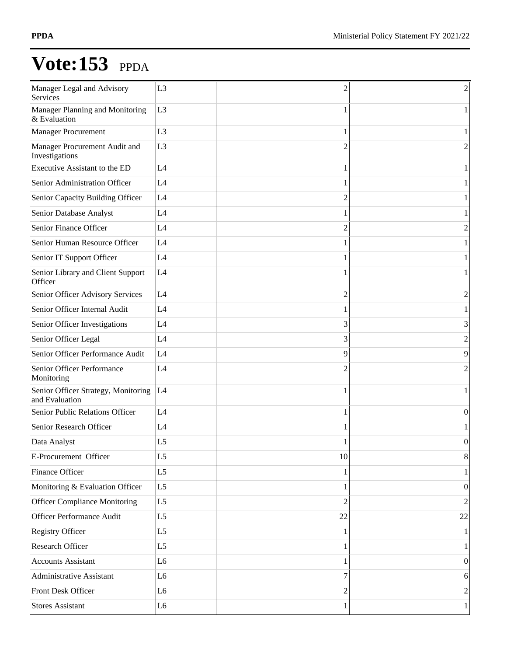| Manager Legal and Advisory<br>Services                | L <sub>3</sub> | $\overline{\mathcal{L}}$ | 2                |
|-------------------------------------------------------|----------------|--------------------------|------------------|
| Manager Planning and Monitoring<br>& Evaluation       | L <sub>3</sub> | 1                        |                  |
| <b>Manager Procurement</b>                            | L <sub>3</sub> | 1                        |                  |
| Manager Procurement Audit and<br>Investigations       | L <sub>3</sub> | 2                        | 2                |
| Executive Assistant to the ED                         | L4             |                          |                  |
| Senior Administration Officer                         | L4             |                          |                  |
| Senior Capacity Building Officer                      | L4             | 2                        |                  |
| Senior Database Analyst                               | L4             |                          |                  |
| Senior Finance Officer                                | L4             | 2                        | 2                |
| Senior Human Resource Officer                         | L4             |                          |                  |
| Senior IT Support Officer                             | L4             |                          |                  |
| Senior Library and Client Support<br>Officer          | L4             |                          |                  |
| Senior Officer Advisory Services                      | L4             | 2                        | 2                |
| Senior Officer Internal Audit                         | L4             |                          |                  |
| Senior Officer Investigations                         | L4             | 3                        | 3                |
| Senior Officer Legal                                  | L4             | 3                        | 2                |
| Senior Officer Performance Audit                      | L4             | 9                        | 9                |
| Senior Officer Performance<br>Monitoring              | L4             | $\mathfrak{D}$           | $\overline{c}$   |
| Senior Officer Strategy, Monitoring<br>and Evaluation | L4             | 1                        |                  |
| Senior Public Relations Officer                       | L4             |                          | 0                |
| Senior Research Officer                               | L4             |                          |                  |
| Data Analyst                                          | L <sub>5</sub> |                          | $\boldsymbol{0}$ |
| E-Procurement Officer                                 | L <sub>5</sub> | 10                       | 8                |
| Finance Officer                                       | L <sub>5</sub> | 1                        |                  |
| Monitoring & Evaluation Officer                       | L <sub>5</sub> |                          | $\theta$         |
| <b>Officer Compliance Monitoring</b>                  | L <sub>5</sub> | $\overline{2}$           | $\overline{2}$   |
| Officer Performance Audit                             | L <sub>5</sub> | 22                       | 22               |
| <b>Registry Officer</b>                               | L <sub>5</sub> | 1                        |                  |
| Research Officer                                      | L <sub>5</sub> |                          |                  |
| <b>Accounts Assistant</b>                             | L <sub>6</sub> |                          | $\theta$         |
| Administrative Assistant                              | L <sub>6</sub> | 7                        | 6                |
| Front Desk Officer                                    | L <sub>6</sub> | 2                        | $\overline{2}$   |
| <b>Stores Assistant</b>                               | L <sub>6</sub> |                          | 1                |